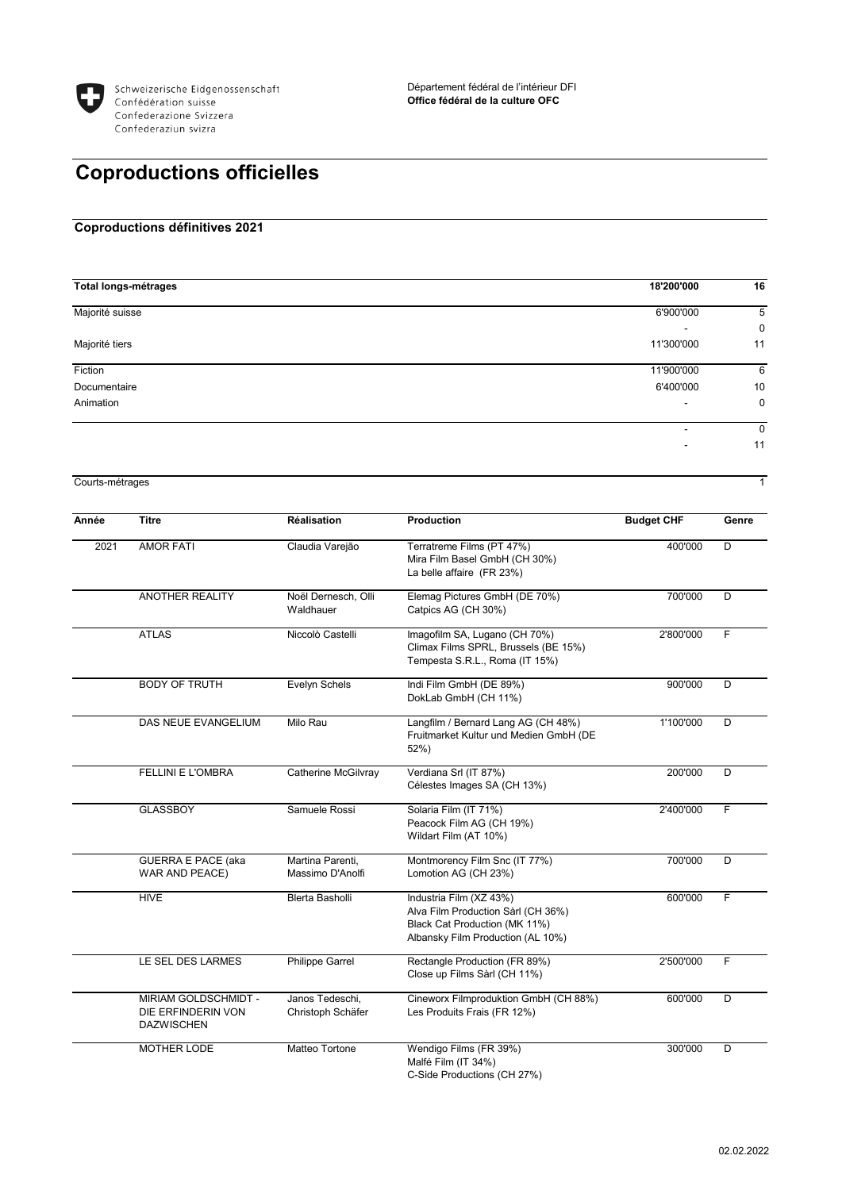

## **Coproductions officielles**

## **Coproductions définitives 2021**

| <b>Total longs-métrages</b> | 18'200'000 | 16          |
|-----------------------------|------------|-------------|
| Majorité suisse             | 6'900'000  | 5           |
|                             |            | $\mathbf 0$ |
| Majorité tiers              | 11'300'000 | 11          |
| Fiction                     | 11'900'000 | 6           |
| Documentaire                | 6'400'000  | 10          |
| Animation                   |            | 0           |
|                             | ٠          | 0           |
|                             |            | 11          |

Courts-métrages 1

| Année | <b>Titre</b>                                                           | <b>Réalisation</b>                   | <b>Production</b>                                                                                                                   | <b>Budget CHF</b> | Genre |
|-------|------------------------------------------------------------------------|--------------------------------------|-------------------------------------------------------------------------------------------------------------------------------------|-------------------|-------|
| 2021  | <b>AMOR FATI</b>                                                       | Claudia Varejão                      | Terratreme Films (PT 47%)<br>Mira Film Basel GmbH (CH 30%)<br>La belle affaire (FR 23%)                                             | 400'000           | D     |
|       | <b>ANOTHER REALITY</b>                                                 | Noël Dernesch, Olli<br>Waldhauer     | Elemag Pictures GmbH (DE 70%)<br>Catpics AG (CH 30%)                                                                                | 700'000           | D     |
|       | <b>ATLAS</b>                                                           | Niccolò Castelli                     | Imagofilm SA, Lugano (CH 70%)<br>Climax Films SPRL, Brussels (BE 15%)<br>Tempesta S.R.L., Roma (IT 15%)                             | 2'800'000         | F     |
|       | <b>BODY OF TRUTH</b>                                                   | Evelyn Schels                        | Indi Film GmbH (DE 89%)<br>DokLab GmbH (CH 11%)                                                                                     | 900'000           | D     |
|       | DAS NEUE EVANGELIUM                                                    | Milo Rau                             | Langfilm / Bernard Lang AG (CH 48%)<br>Fruitmarket Kultur und Medien GmbH (DE<br>$52%$ )                                            | 1'100'000         | D     |
|       | <b>FELLINI E L'OMBRA</b>                                               | Catherine McGilvray                  | Verdiana Srl (IT 87%)<br>Célestes Images SA (CH 13%)                                                                                | 200'000           | D     |
|       | <b>GLASSBOY</b>                                                        | Samuele Rossi                        | Solaria Film (IT 71%)<br>Peacock Film AG (CH 19%)<br>Wildart Film (AT 10%)                                                          | 2'400'000         | F     |
|       | <b>GUERRA E PACE (aka</b><br>WAR AND PEACE)                            | Martina Parenti,<br>Massimo D'Anolfi | Montmorency Film Snc (IT 77%)<br>Lomotion AG (CH 23%)                                                                               | 700'000           | D     |
|       | <b>HIVE</b>                                                            | <b>Blerta Basholli</b>               | Industria Film (XZ 43%)<br>Alva Film Production Sàrl (CH 36%)<br>Black Cat Production (MK 11%)<br>Albansky Film Production (AL 10%) | 600'000           | F     |
|       | LE SEL DES LARMES                                                      | <b>Philippe Garrel</b>               | Rectangle Production (FR 89%)<br>Close up Films Sàrl (CH 11%)                                                                       | 2'500'000         | F     |
|       | <b>MIRIAM GOLDSCHMIDT -</b><br>DIE ERFINDERIN VON<br><b>DAZWISCHEN</b> | Janos Tedeschi,<br>Christoph Schäfer | Cineworx Filmproduktion GmbH (CH 88%)<br>Les Produits Frais (FR 12%)                                                                | 600'000           | D     |
|       | <b>MOTHER LODE</b>                                                     | Matteo Tortone                       | Wendigo Films (FR 39%)<br>Malfé Film (IT 34%)<br>C-Side Productions (CH 27%)                                                        | 300'000           | D     |